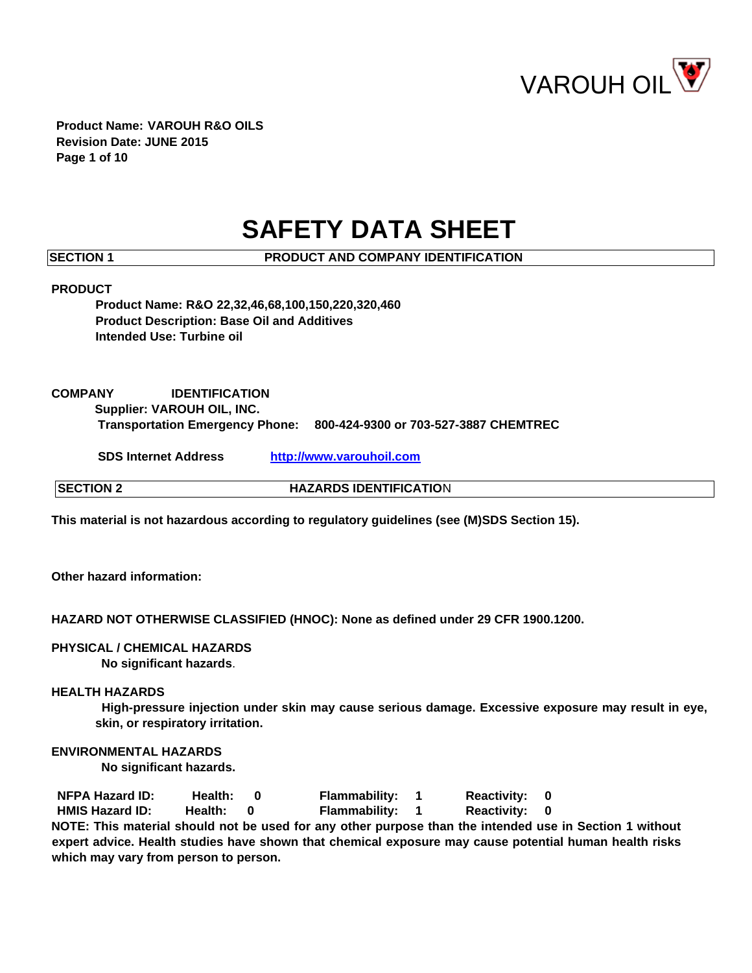

**Product Name: VAROUH R&O OILS Revision Date: JUNE 2015 Page 1 of 10** 

# **SAFETY DATA SHEET**

**SECTION 1 PRODUCT AND COMPANY IDENTIFICATION** 

### **PRODUCT**

**Product Name: R&O 22,32,46,68,100,150,220,320,460 Product Description: Base Oil and Additives Intended Use: Turbine oil** 

# **COMPANY IDENTIFICATION**

**Supplier: VAROUH OIL, INC.** 

**Transportation Emergency Phone: 800-424-9300 or 703-527-3887 CHEMTREC** 

**SDS Internet Address [http://www.varouhoil.com](http://www.varouhoil.com/)**

**SECTION 2** HAZARDS IDENTIFICATION

**This material is not hazardous according to regulatory guidelines (see (M)SDS Section 15).** 

**Other hazard information:**

**HAZARD NOT OTHERWISE CLASSIFIED (HNOC): None as defined under 29 CFR 1900.1200.**

**PHYSICAL / CHEMICAL HAZARDS No significant hazards**.

### **HEALTH HAZARDS**

**High-pressure injection under skin may cause serious damage. Excessive exposure may result in eye, skin, or respiratory irritation.** 

### **ENVIRONMENTAL HAZARDS**

**No significant hazards.** 

**NFPA Hazard ID: Health: 0 Flammability: 1 Reactivity: 0 HMIS Hazard ID: Health: 0 Flammability: 1 Reactivity: 0 NOTE: This material should not be used for any other purpose than the intended use in Section 1 without expert advice. Health studies have shown that chemical exposure may cause potential human health risks which may vary from person to person.**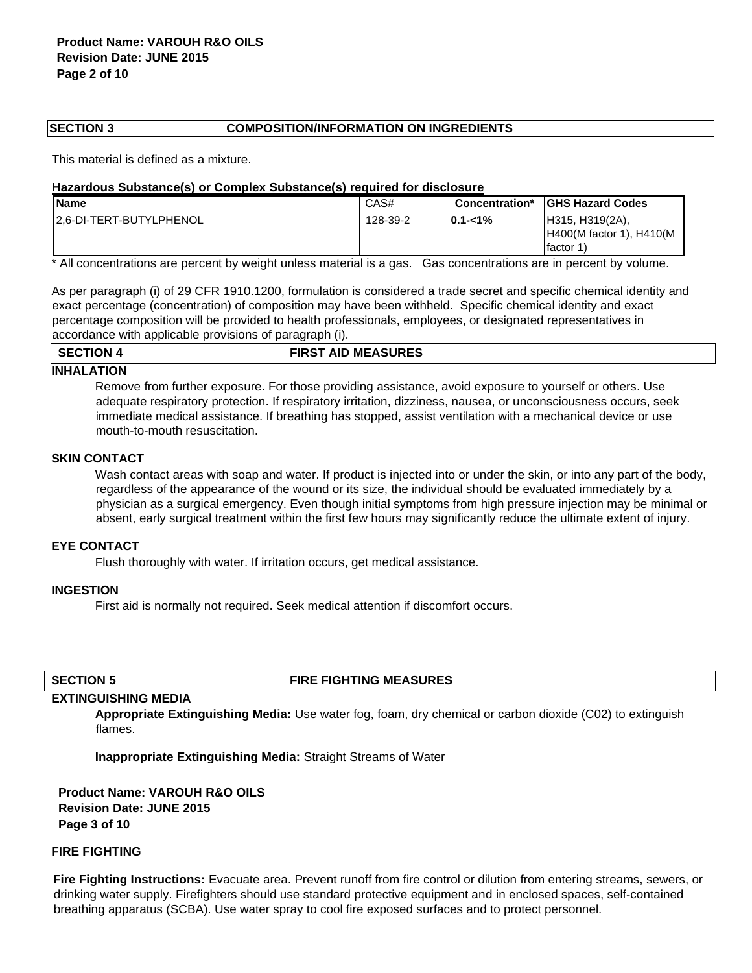### **SECTION 3 COMPOSITION/INFORMATION ON INGREDIENTS**

This material is defined as a mixture.

#### **Hazardous Substance(s) or Complex Substance(s) required for disclosure**

| <b>Name</b>              | CAS#     | <b>Concentration*</b> | <b>IGHS Hazard Codes</b>                                 |
|--------------------------|----------|-----------------------|----------------------------------------------------------|
| 12.6-DI-TERT-BUTYLPHENOL | 128-39-2 | 0.1-<1%               | H315, H319(2A),<br>H400(M factor 1), H410(M<br>lfactor 1 |

\* All concentrations are percent by weight unless material is a gas. Gas concentrations are in percent by volume.

As per paragraph (i) of 29 CFR 1910.1200, formulation is considered a trade secret and specific chemical identity and exact percentage (concentration) of composition may have been withheld. Specific chemical identity and exact percentage composition will be provided to health professionals, employees, or designated representatives in accordance with applicable provisions of paragraph (i).

#### **SECTION 4 FIRST AID MEASURES**

### **INHALATION**

Remove from further exposure. For those providing assistance, avoid exposure to yourself or others. Use adequate respiratory protection. If respiratory irritation, dizziness, nausea, or unconsciousness occurs, seek immediate medical assistance. If breathing has stopped, assist ventilation with a mechanical device or use mouth-to-mouth resuscitation.

#### **SKIN CONTACT**

Wash contact areas with soap and water. If product is injected into or under the skin, or into any part of the body, regardless of the appearance of the wound or its size, the individual should be evaluated immediately by a physician as a surgical emergency. Even though initial symptoms from high pressure injection may be minimal or absent, early surgical treatment within the first few hours may significantly reduce the ultimate extent of injury.

# **EYE CONTACT**

Flush thoroughly with water. If irritation occurs, get medical assistance.

### **INGESTION**

First aid is normally not required. Seek medical attention if discomfort occurs.

### **SECTION 5 FIRE FIGHTING MEASURES**

### **EXTINGUISHING MEDIA**

**Appropriate Extinguishing Media:** Use water fog, foam, dry chemical or carbon dioxide (C02) to extinguish flames.

**Inappropriate Extinguishing Media:** Straight Streams of Water

**Product Name: VAROUH R&O OILS Revision Date: JUNE 2015 Page 3 of 10** 

# **FIRE FIGHTING**

**Fire Fighting Instructions:** Evacuate area. Prevent runoff from fire control or dilution from entering streams, sewers, or drinking water supply. Firefighters should use standard protective equipment and in enclosed spaces, self-contained breathing apparatus (SCBA). Use water spray to cool fire exposed surfaces and to protect personnel.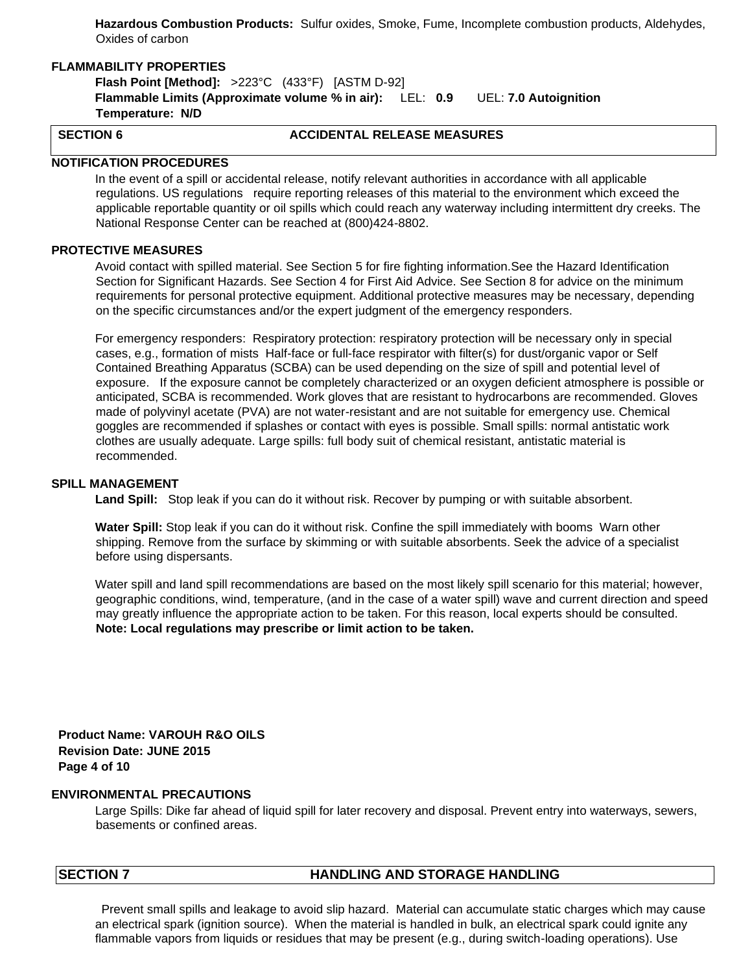**Hazardous Combustion Products:** Sulfur oxides, Smoke, Fume, Incomplete combustion products, Aldehydes, Oxides of carbon

# **FLAMMABILITY PROPERTIES**

**Flash Point [Method]:** >223°C (433°F) [ASTM D-92] **Flammable Limits (Approximate volume % in air):** LEL: **0.9** UEL: **7.0 Autoignition Temperature: N/D**

# **SECTION 6 ACCIDENTAL RELEASE MEASURES**

### **NOTIFICATION PROCEDURES**

In the event of a spill or accidental release, notify relevant authorities in accordance with all applicable regulations. US regulations require reporting releases of this material to the environment which exceed the applicable reportable quantity or oil spills which could reach any waterway including intermittent dry creeks. The National Response Center can be reached at (800)424-8802.

# **PROTECTIVE MEASURES**

Avoid contact with spilled material. See Section 5 for fire fighting information.See the Hazard Identification Section for Significant Hazards. See Section 4 for First Aid Advice. See Section 8 for advice on the minimum requirements for personal protective equipment. Additional protective measures may be necessary, depending on the specific circumstances and/or the expert judgment of the emergency responders.

For emergency responders: Respiratory protection: respiratory protection will be necessary only in special cases, e.g., formation of mists Half-face or full-face respirator with filter(s) for dust/organic vapor or Self Contained Breathing Apparatus (SCBA) can be used depending on the size of spill and potential level of exposure. If the exposure cannot be completely characterized or an oxygen deficient atmosphere is possible or anticipated, SCBA is recommended. Work gloves that are resistant to hydrocarbons are recommended. Gloves made of polyvinyl acetate (PVA) are not water-resistant and are not suitable for emergency use. Chemical goggles are recommended if splashes or contact with eyes is possible. Small spills: normal antistatic work clothes are usually adequate. Large spills: full body suit of chemical resistant, antistatic material is recommended.

#### **SPILL MANAGEMENT**

**Land Spill:** Stop leak if you can do it without risk. Recover by pumping or with suitable absorbent.

**Water Spill:** Stop leak if you can do it without risk. Confine the spill immediately with booms Warn other shipping. Remove from the surface by skimming or with suitable absorbents. Seek the advice of a specialist before using dispersants.

Water spill and land spill recommendations are based on the most likely spill scenario for this material; however, geographic conditions, wind, temperature, (and in the case of a water spill) wave and current direction and speed may greatly influence the appropriate action to be taken. For this reason, local experts should be consulted. **Note: Local regulations may prescribe or limit action to be taken.**

**Product Name: VAROUH R&O OILS Revision Date: JUNE 2015 Page 4 of 10** 

# **ENVIRONMENTAL PRECAUTIONS**

Large Spills: Dike far ahead of liquid spill for later recovery and disposal. Prevent entry into waterways, sewers, basements or confined areas.

# **SECTION 7** HANDLING AND STORAGE HANDLING

Prevent small spills and leakage to avoid slip hazard. Material can accumulate static charges which may cause an electrical spark (ignition source). When the material is handled in bulk, an electrical spark could ignite any flammable vapors from liquids or residues that may be present (e.g., during switch-loading operations). Use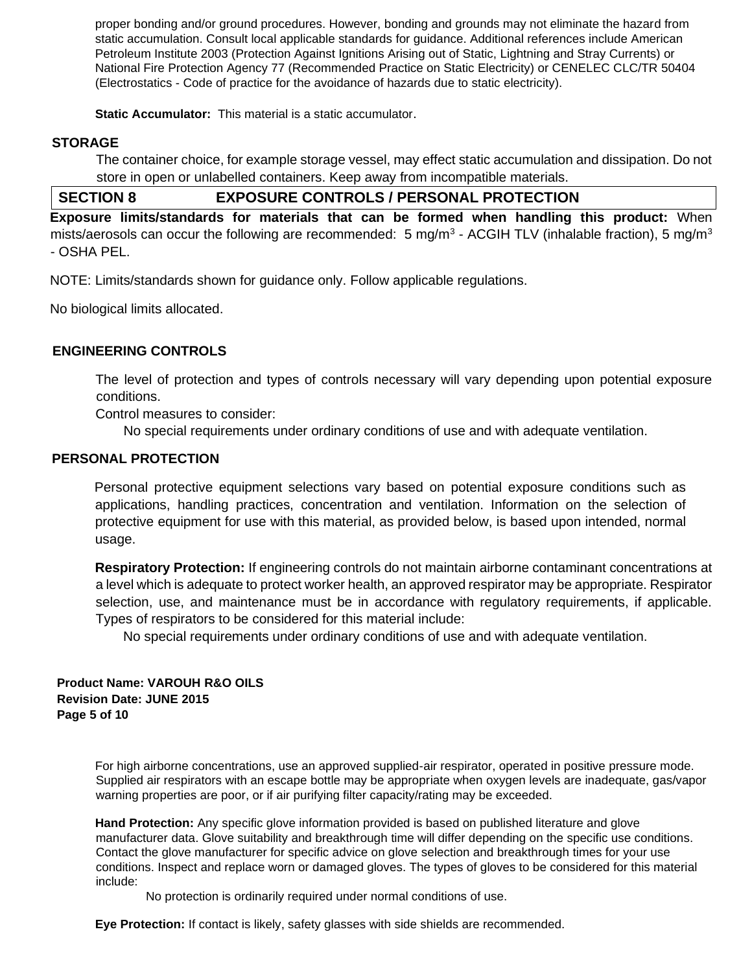proper bonding and/or ground procedures. However, bonding and grounds may not eliminate the hazard from static accumulation. Consult local applicable standards for guidance. Additional references include American Petroleum Institute 2003 (Protection Against Ignitions Arising out of Static, Lightning and Stray Currents) or National Fire Protection Agency 77 (Recommended Practice on Static Electricity) or CENELEC CLC/TR 50404 (Electrostatics - Code of practice for the avoidance of hazards due to static electricity).

**Static Accumulator:** This material is a static accumulator.

# **STORAGE**

The container choice, for example storage vessel, may effect static accumulation and dissipation. Do not store in open or unlabelled containers. Keep away from incompatible materials.

# **SECTION 8 EXPOSURE CONTROLS / PERSONAL PROTECTION**

**Exposure limits/standards for materials that can be formed when handling this product:** When mists/aerosols can occur the following are recommended: 5 mg/m<sup>3</sup> - ACGIH TLV (inhalable fraction), 5 mg/m<sup>3</sup> - OSHA PEL.

NOTE: Limits/standards shown for guidance only. Follow applicable regulations.

No biological limits allocated.

# **ENGINEERING CONTROLS**

The level of protection and types of controls necessary will vary depending upon potential exposure conditions.

Control measures to consider:

No special requirements under ordinary conditions of use and with adequate ventilation.

# **PERSONAL PROTECTION**

Personal protective equipment selections vary based on potential exposure conditions such as applications, handling practices, concentration and ventilation. Information on the selection of protective equipment for use with this material, as provided below, is based upon intended, normal usage.

**Respiratory Protection:** If engineering controls do not maintain airborne contaminant concentrations at a level which is adequate to protect worker health, an approved respirator may be appropriate. Respirator selection, use, and maintenance must be in accordance with regulatory requirements, if applicable. Types of respirators to be considered for this material include:

No special requirements under ordinary conditions of use and with adequate ventilation.

# **Product Name: VAROUH R&O OILS Revision Date: JUNE 2015 Page 5 of 10**

For high airborne concentrations, use an approved supplied-air respirator, operated in positive pressure mode. Supplied air respirators with an escape bottle may be appropriate when oxygen levels are inadequate, gas/vapor warning properties are poor, or if air purifying filter capacity/rating may be exceeded.

**Hand Protection:** Any specific glove information provided is based on published literature and glove manufacturer data. Glove suitability and breakthrough time will differ depending on the specific use conditions. Contact the glove manufacturer for specific advice on glove selection and breakthrough times for your use conditions. Inspect and replace worn or damaged gloves. The types of gloves to be considered for this material include:

No protection is ordinarily required under normal conditions of use.

**Eye Protection:** If contact is likely, safety glasses with side shields are recommended.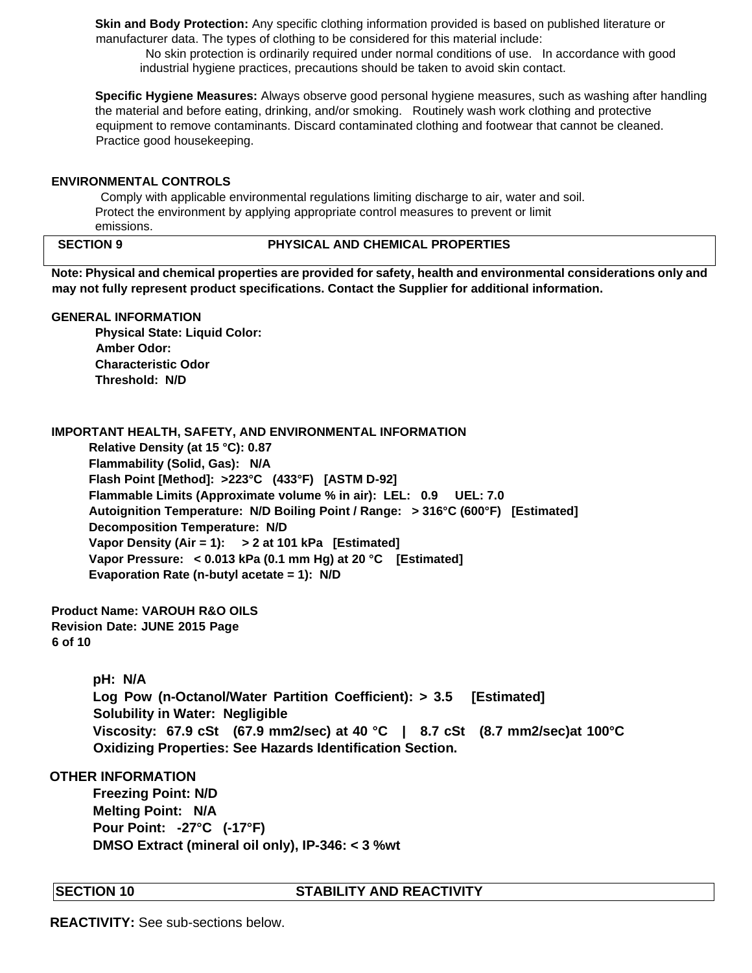**Skin and Body Protection:** Any specific clothing information provided is based on published literature or manufacturer data. The types of clothing to be considered for this material include:

No skin protection is ordinarily required under normal conditions of use. In accordance with good industrial hygiene practices, precautions should be taken to avoid skin contact.

**Specific Hygiene Measures:** Always observe good personal hygiene measures, such as washing after handling the material and before eating, drinking, and/or smoking. Routinely wash work clothing and protective equipment to remove contaminants. Discard contaminated clothing and footwear that cannot be cleaned. Practice good housekeeping.

# **ENVIRONMENTAL CONTROLS**

Comply with applicable environmental regulations limiting discharge to air, water and soil. Protect the environment by applying appropriate control measures to prevent or limit emissions.

# **SECTION 9 PHYSICAL AND CHEMICAL PROPERTIES**

**Note: Physical and chemical properties are provided for safety, health and environmental considerations only and may not fully represent product specifications. Contact the Supplier for additional information.**

### **GENERAL INFORMATION**

**Physical State: Liquid Color: Amber Odor: Characteristic Odor Threshold: N/D** 

**IMPORTANT HEALTH, SAFETY, AND ENVIRONMENTAL INFORMATION** 

 **Relative Density (at 15 °C): 0.87 Flammability (Solid, Gas): N/A Flash Point [Method]: >223°C (433°F) [ASTM D-92] Flammable Limits (Approximate volume % in air): LEL: 0.9 UEL: 7.0 Autoignition Temperature: N/D Boiling Point / Range: > 316°C (600°F) [Estimated] Decomposition Temperature: N/D Vapor Density (Air = 1): > 2 at 101 kPa [Estimated] Vapor Pressure: < 0.013 kPa (0.1 mm Hg) at 20 °C [Estimated] Evaporation Rate (n-butyl acetate = 1): N/D** 

**Product Name: VAROUH R&O OILS Revision Date: JUNE 2015 Page 6 of 10** 

> **pH: N/A Log Pow (n-Octanol/Water Partition Coefficient): > 3.5 [Estimated] Solubility in Water: Negligible Viscosity: 67.9 cSt (67.9 mm2/sec) at 40 °C | 8.7 cSt (8.7 mm2/sec)at 100°C Oxidizing Properties: See Hazards Identification Section.**

# **OTHER INFORMATION**

**Freezing Point: N/D Melting Point: N/A Pour Point: -27°C (-17°F) DMSO Extract (mineral oil only), IP-346: < 3 %wt**

# **SECTION 10 STABILITY AND REACTIVITY**

**REACTIVITY:** See sub-sections below.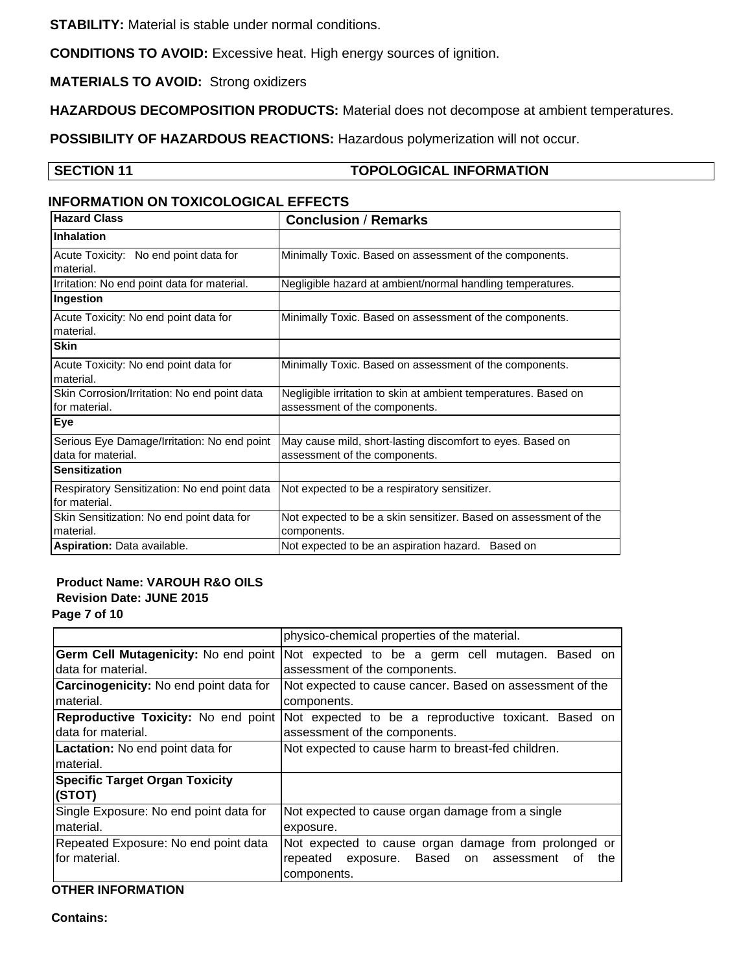**STABILITY:** Material is stable under normal conditions.

**CONDITIONS TO AVOID:** Excessive heat. High energy sources of ignition.

**MATERIALS TO AVOID:** Strong oxidizers

**HAZARDOUS DECOMPOSITION PRODUCTS:** Material does not decompose at ambient temperatures.

**POSSIBILITY OF HAZARDOUS REACTIONS:** Hazardous polymerization will not occur.

# **SECTION 11** TOPOLOGICAL INFORMATION

# **INFORMATION ON TOXICOLOGICAL EFFECTS**

| <b>Hazard Class</b>                                               | <b>Conclusion / Remarks</b>                                                                      |
|-------------------------------------------------------------------|--------------------------------------------------------------------------------------------------|
| <b>Inhalation</b>                                                 |                                                                                                  |
| Acute Toxicity: No end point data for<br>material.                | Minimally Toxic. Based on assessment of the components.                                          |
| Irritation: No end point data for material.                       | Negligible hazard at ambient/normal handling temperatures.                                       |
| Ingestion                                                         |                                                                                                  |
| Acute Toxicity: No end point data for<br>material.                | Minimally Toxic. Based on assessment of the components.                                          |
| <b>Skin</b>                                                       |                                                                                                  |
| Acute Toxicity: No end point data for<br>material.                | Minimally Toxic. Based on assessment of the components.                                          |
| Skin Corrosion/Irritation: No end point data<br>for material.     | Negligible irritation to skin at ambient temperatures. Based on<br>assessment of the components. |
| <b>Eye</b>                                                        |                                                                                                  |
| Serious Eye Damage/Irritation: No end point<br>data for material. | May cause mild, short-lasting discomfort to eyes. Based on<br>assessment of the components.      |
| <b>Sensitization</b>                                              |                                                                                                  |
| Respiratory Sensitization: No end point data<br>for material.     | Not expected to be a respiratory sensitizer.                                                     |
| Skin Sensitization: No end point data for<br>material.            | Not expected to be a skin sensitizer. Based on assessment of the<br>components.                  |
| Aspiration: Data available.                                       | Not expected to be an aspiration hazard. Based on                                                |

# **Product Name: VAROUH R&O OILS Revision Date: JUNE 2015**

**Page 7 of 10** 

|                                        | physico-chemical properties of the material.                 |  |
|----------------------------------------|--------------------------------------------------------------|--|
| Germ Cell Mutagenicity: No end point   | Not expected to be a germ cell mutagen. Based on             |  |
| data for material.                     | assessment of the components.                                |  |
| Carcinogenicity: No end point data for | Not expected to cause cancer. Based on assessment of the     |  |
| material.                              | components.                                                  |  |
| Reproductive Toxicity: No end point    | Not expected to be a reproductive toxicant. Based on         |  |
| data for material.                     | assessment of the components.                                |  |
| Lactation: No end point data for       | Not expected to cause harm to breast-fed children.           |  |
| material.                              |                                                              |  |
| <b>Specific Target Organ Toxicity</b>  |                                                              |  |
| (STOT)                                 |                                                              |  |
| Single Exposure: No end point data for | Not expected to cause organ damage from a single             |  |
| material.                              | exposure.                                                    |  |
| Repeated Exposure: No end point data   | Not expected to cause organ damage from prolonged or         |  |
| lfor material.                         | exposure. Based<br>repeated<br>the<br>on<br>assessment<br>οt |  |
|                                        | components.                                                  |  |

# **OTHER INFORMATION**

**Contains:**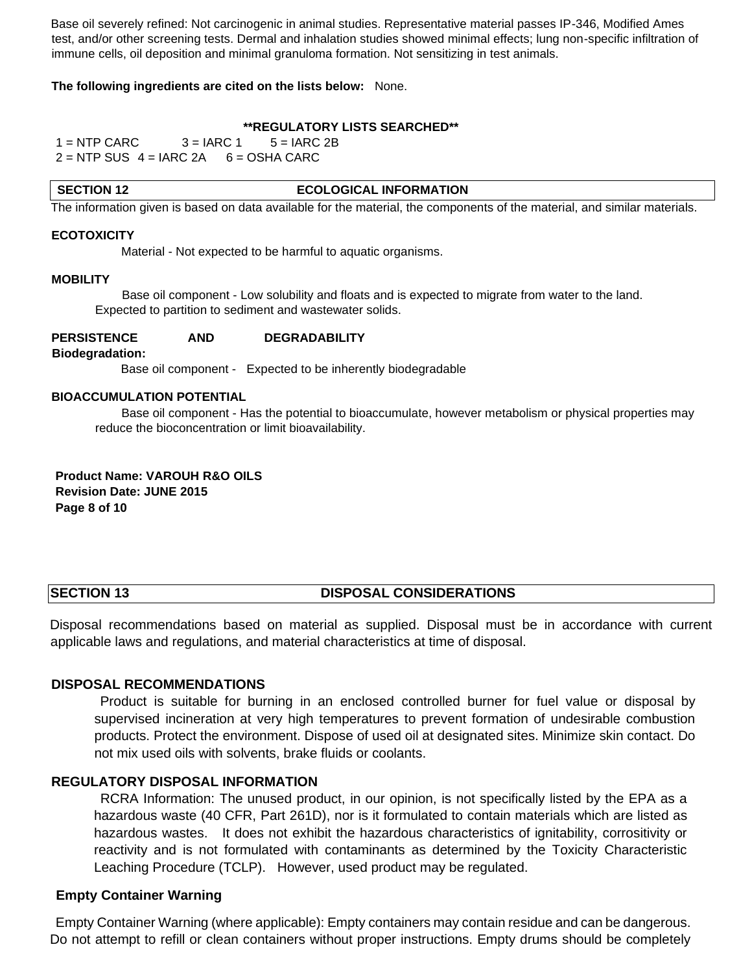Base oil severely refined: Not carcinogenic in animal studies. Representative material passes IP-346, Modified Ames test, and/or other screening tests. Dermal and inhalation studies showed minimal effects; lung non-specific infiltration of immune cells, oil deposition and minimal granuloma formation. Not sensitizing in test animals.

## **The following ingredients are cited on the lists below:** None.

# **\*\*REGULATORY LISTS SEARCHED\*\***

 $1 =$  NTP CARC  $3 =$  IARC 1  $5 =$  IARC 2B  $2 =$  NTP SUS  $4 =$  IARC 2A  $6 =$  OSHA CARC

#### **SECTION 12** ECOLOGICAL INFORMATION

The information given is based on data available for the material, the components of the material, and similar materials.

#### **ECOTOXICITY**

Material - Not expected to be harmful to aquatic organisms.

#### **MOBILITY**

Base oil component - Low solubility and floats and is expected to migrate from water to the land. Expected to partition to sediment and wastewater solids.

### **PERSISTENCE AND DEGRADABILITY**

**Biodegradation:**

Base oil component - Expected to be inherently biodegradable

#### **BIOACCUMULATION POTENTIAL**

Base oil component - Has the potential to bioaccumulate, however metabolism or physical properties may reduce the bioconcentration or limit bioavailability.

**Product Name: VAROUH R&O OILS Revision Date: JUNE 2015 Page 8 of 10** 

# **SECTION 13** DISPOSAL CONSIDERATIONS

Disposal recommendations based on material as supplied. Disposal must be in accordance with current applicable laws and regulations, and material characteristics at time of disposal.

# **DISPOSAL RECOMMENDATIONS**

Product is suitable for burning in an enclosed controlled burner for fuel value or disposal by supervised incineration at very high temperatures to prevent formation of undesirable combustion products. Protect the environment. Dispose of used oil at designated sites. Minimize skin contact. Do not mix used oils with solvents, brake fluids or coolants.

# **REGULATORY DISPOSAL INFORMATION**

RCRA Information: The unused product, in our opinion, is not specifically listed by the EPA as a hazardous waste (40 CFR, Part 261D), nor is it formulated to contain materials which are listed as hazardous wastes. It does not exhibit the hazardous characteristics of ignitability, corrositivity or reactivity and is not formulated with contaminants as determined by the Toxicity Characteristic Leaching Procedure (TCLP). However, used product may be regulated.

# **Empty Container Warning**

Empty Container Warning (where applicable): Empty containers may contain residue and can be dangerous. Do not attempt to refill or clean containers without proper instructions. Empty drums should be completely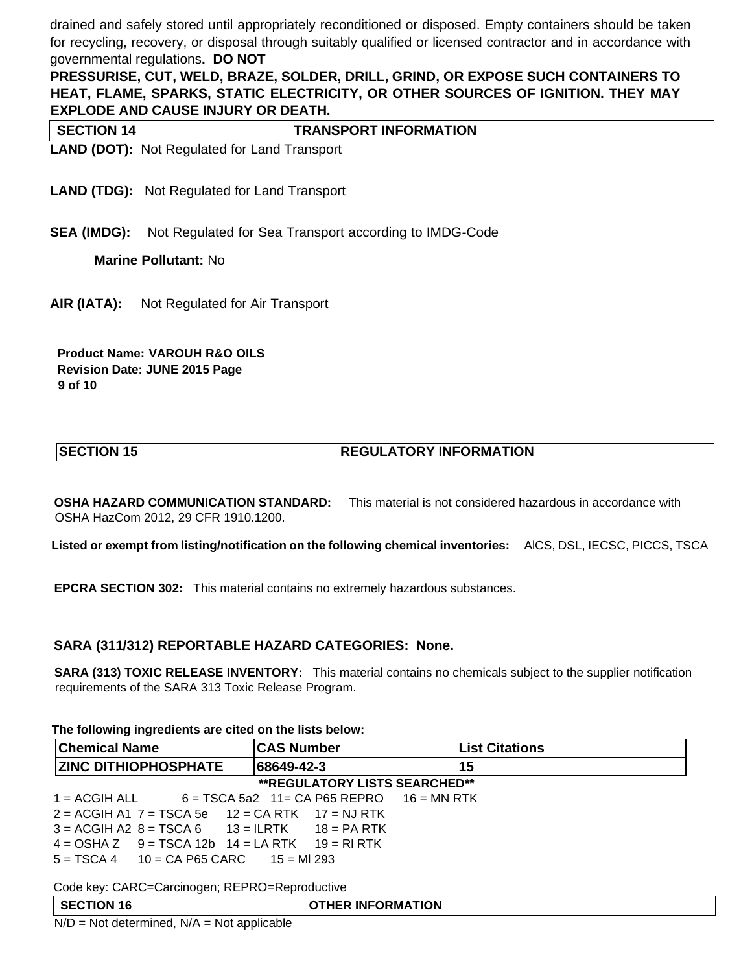drained and safely stored until appropriately reconditioned or disposed. Empty containers should be taken for recycling, recovery, or disposal through suitably qualified or licensed contractor and in accordance with governmental regulations**. DO NOT** 

**PRESSURISE, CUT, WELD, BRAZE, SOLDER, DRILL, GRIND, OR EXPOSE SUCH CONTAINERS TO HEAT, FLAME, SPARKS, STATIC ELECTRICITY, OR OTHER SOURCES OF IGNITION. THEY MAY EXPLODE AND CAUSE INJURY OR DEATH.**

**SECTION 14** TRANSPORT INFORMATION

**LAND (DOT):** Not Regulated for Land Transport

**LAND (TDG):** Not Regulated for Land Transport

**SEA (IMDG):** Not Regulated for Sea Transport according to IMDG-Code

**Marine Pollutant:** No

**AIR (IATA):** Not Regulated for Air Transport

**Product Name: VAROUH R&O OILS Revision Date: JUNE 2015 Page 9 of 10** 

# **SECTION 15 REGULATORY INFORMATION**

**OSHA HAZARD COMMUNICATION STANDARD:** This material is not considered hazardous in accordance with OSHA HazCom 2012, 29 CFR 1910.1200.

**Listed or exempt from listing/notification on the following chemical inventories:** AlCS, DSL, IECSC, PICCS, TSCA

**EPCRA SECTION 302:** This material contains no extremely hazardous substances.

# **SARA (311/312) REPORTABLE HAZARD CATEGORIES: None.**

**SARA (313) TOXIC RELEASE INVENTORY:** This material contains no chemicals subject to the supplier notification requirements of the SARA 313 Toxic Release Program.

# **The following ingredients are cited on the lists below:**

| <b>Chemical Name</b>                                    | <b>CAS Number</b>                                         | <b>List Citations</b> |  |  |  |
|---------------------------------------------------------|-----------------------------------------------------------|-----------------------|--|--|--|
| <b>ZINC DITHIOPHOSPHATE</b>                             | 68649-42-3                                                | 15                    |  |  |  |
| <b>**REGULATORY LISTS SEARCHED**</b>                    |                                                           |                       |  |  |  |
|                                                         | $1 = ACGH ALL$ 6 = TSCA 5a2 11 = CA P65 REPRO 16 = MN RTK |                       |  |  |  |
| $2 = ACGH A1 7 = TSCA 5e 12 = CA RTK 17 = NJ RTK$       |                                                           |                       |  |  |  |
| $3 = ACGH A2 8 = TSCA 6$ $13 = ILRTK$ $18 = PA RTK$     |                                                           |                       |  |  |  |
| $4 = OSHA Z$ $9 = TSCA 12b$ $14 = LA RTK$ $19 = RI RTK$ |                                                           |                       |  |  |  |
| $5 = TSCA$ 4 $10 = CA$ P65 CARC $15 = MI$ 293           |                                                           |                       |  |  |  |

Code key: CARC=Carcinogen; REPRO=Reproductive

| <b>SECTION 16</b>                   | <b>OTHER INFORMATION</b> |
|-------------------------------------|--------------------------|
| .<br>.<br>$\sim$ $\sim$<br>. .<br>. |                          |